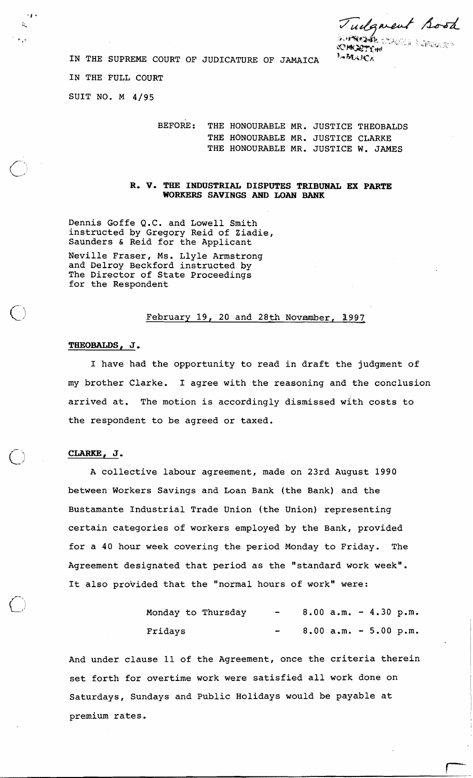udgment Bood

SO<del>PREDI</del>E OVACOR E DREGIES<br>**KOMCRET O**M<br>EAMARCA

IN THE SUPREME COURT OF JUDICATURE OF JAMAICA

IN THE FULL COURT

SUIT NO. M 4/95

县

يد لا

BEFORE: THE HONOURABLE MR. JUSTICE THEOBALDS THE HONOURABLE MR. JUSTICE CLARKE THE HONOURABLE MR. JUSTICE W. JAMES

**R. V, THE INDUSTRIAL DISPUTES TRIBUNAL EX PARTE WORKERS SAVINGS AND LOAN BANK** 

Dennis Goffe Q.C. and Lowell Smith instructed by Gregory Reid of Ziadie, Saunders & Reid for the Applicant

Neville Fraser, Ms. Llyle Armstrong and Delroy Beckford instructed by The Director of State Proceedings for the Respondent

### February 19, 20 and 28th Novamber, **3.997.**

# **THEOBALDS, J,**

I have had the opportunity to read in draft the judgment of my brother Clarke. I agree with the reasoning and the conclusion arrived at. The motion is accordingly dismissed with costs to the respondent to be agreed or taxed.

### **CLARKE, J** ,

A collective labour agreement, made on 23rd August 1990 between Workers Savings and Loan Bank (the Bank) and the Bustamante Industrial Trade Union (the Union) representing certain categories of workers employed by the Bank, provided for a 40 hour week covering the period Monday to Friday. The Agreement designated that period as the "standard work week". It also provided that the "normal hours of work" were:

| Monday to Thursday |  | $8.00$ a.m. $-4.30$ p.m. |  |  |
|--------------------|--|--------------------------|--|--|
| Fridays            |  | $8.00$ a.m. $-5.00$ p.m. |  |  |

And under clause 11 of the Agreement, once the criteria therein set forth for overtime work were satisfied all work done on Saturdays, Sundays and Public Holidays would be payable at premium rates.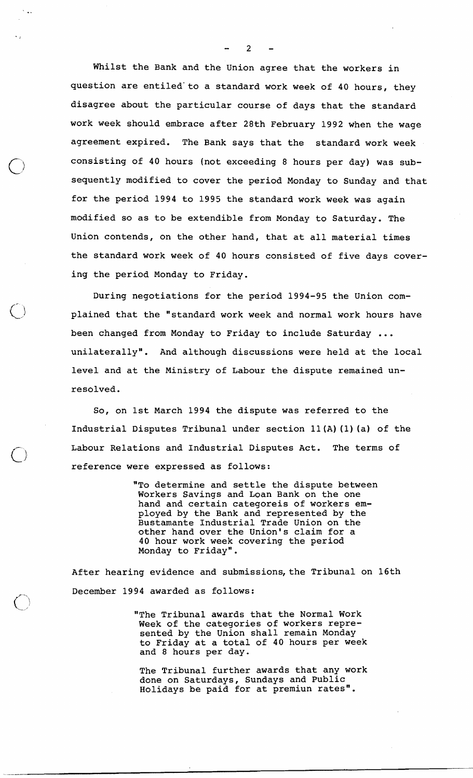Whilst the Bank and the Union agree that the workers in question are entiled'to a standard work week of 40 hours, they disagree about the particular course of days that the standard work week should embrace after 28th February 1992 when the wage agreement expired. The Bank says that the standard work week consisting of 40 hours (not exceeding 8 hours per day) was subsequently modified to cover the period Monday to Sunday and that for the period 1994 to 1995 the standard work week was again modified so as to be extendible from Monday to Saturday. The Union contends, on the other hand, that at all material times the standard work week of 40 hours consisted of five days covering the period Monday to Friday.

During negotiations for the period 1994-95 the Union complained that the "standard work week and normal work hours have been changed from Monday to Friday to include Saturday ... unilaterally". And although discussions were held at the local level and at the Ministry of Labour the dispute remained unresolved.

So, on 1st March 1994 the dispute was referred to the Industrial Disputes Tribunal under section 11 (A) (1) (a) of the Labour Relations and Industrial Disputes Act. The terms of reference were expressed as follows:

> "To determine and settle the dispute between Workers Savings and Loan Bank on the one hand and certain categoreis of workers employed by the Bank and represented by the Bustamante Industrial Trade Union on the other hand over the Union's claim for a 40 hour work week covering the period Monday to Friday".

After hearing evidence and submissions, the Tribunal on 16th December 1994 awarded as follows:

> "The Tribunal awards that the Normal Work Week of the categories of workers represented by the Union shall remain Monday to Friday at a total of 40 hours per week and 8 hours per day.

The Tribunal further awards that any work done on Saturdays, Sundays and Public Holidays be paid for at premiun rates".

 $2<sup>1</sup>$ 

 $5 - 4.4$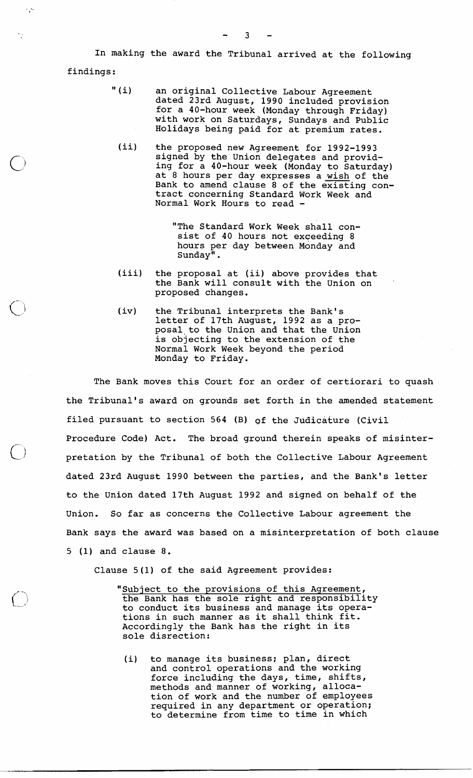In making the award the Tribunal arrived at the following

findings :

 $\sim$   $\sim$ 

- " (i) an original Collective Labour Agreement dated 23rd August, 1990 included provision for a 40-hour week (Monday through Friday) with work on Saturdays, Sundays and Public Holidays being paid for at premium rates.
	- (ii) the proposed new Agreement for 1992-1993 signed by the Union delegates and providing for a 40-hour week (Monday to Saturday) at 8 hours per day expresses a wish of the Bank to amend clause 8 of the existing contract concerning Standard Work Week and Normal Work Hours to read -

"The Standard Work Week shall consist of 40 hours not exceeding 8 hours per day between Monday and Sunday".

- (iii) the proposal at (ii) above provides that the Bank will consult with the Union on proposed changes.
- (iv) the Tribunal interprets the Bank's letter of 17th August, 1992 as a proposal to the Union and that the Union is obJecting to the extension of the Normal Work Week beyond the period Monday to Friday.

The Bank moves this Court for an order of certiorari to quash the Tribunal's award on grounds set forth in the amended statement filed pursuant to section 564 (B) of the Judicature (Civil Procedure Code) Act. The broad ground therein speaks of misinter pretation by the Tribunal of both the Collective Labour Agreement dated 23rd August 1990 between the parties, and the Bank's letter to the Union dated 17th August 1992 and signed on behalf of the Union. So far as concerns the Collective Labour agreement the Bank says the award was based on a misinterpretation of both clause 5 (1) and clause 8.

Clause 5(1) of the said Agreement provides:

"Subject to the provisions of this Aqreement, the Bank has the sole right and responsibility to conduct its business and manage its operations in such manner as it shall think fit. Accordingly the Bank has the right in its sole disrection:

(i) to manage its business; plan, direct and control operations and the working force including the days, time, shifts, methods and manner of working, allocation of work and the number of employees required in any department or operation; to determine from time to time in which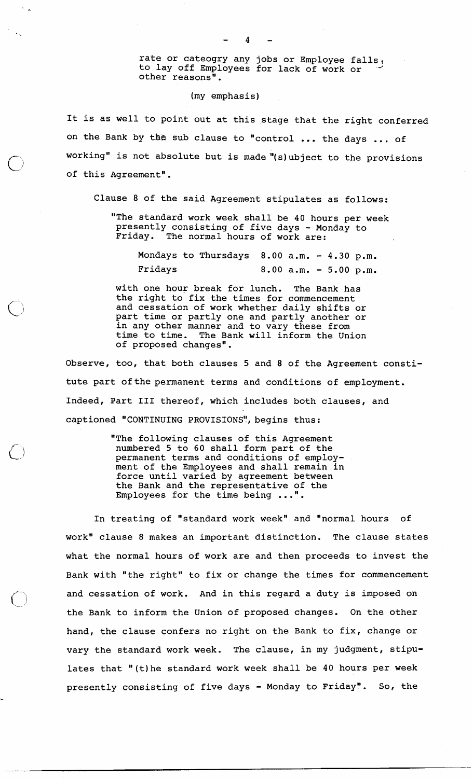rate or cateogry any jobs or Employee falls, to lay off Employees for lack of work or other reasons".

# (my emphasis)

It is as well to point out at this stage that the right conferred on the Bank by the sub clause to "control ... the days ,,. of working" is not absolute but is made "(s)ubject to the provisions of this Agreement".

Clause 8 of the said Agreement stipulates as follows:

"The standard work week shall be 40 hours per week presently consisting of five days - Monday to Friday. The normal hours of work are:

Mondays to Thursdays  $8.00$  a.m. -  $4.30$  p.m. Fridays 8.00 a.m. - 5.00 p.m.

with one hour break for lunch. The Bank has the right to fix the times for commencement and cessation of work whether daily shifts or part time or partly one and partly another or in any other manner and to vary these from time to time. The Bank will inform the Union of proposed changes".

Observe, too, that both clauses 5 and 8 of the Agreement constitute part of the permanent terms and conditions of employment. Indeed, Part I11 thereof, which includes both clauses, and captioned "CONTINUING PROVISIONS", begins thus:

> "The following clauses of this Agreement numbered 5 to 60 shall form part of the permanent terms and conditions of employment of the Employees and shall remain in force until varied by agreement between the Bank and the representative of the Employees for the time being ...".

In treating of "standard work week" and "normal hours of work" clause 8 makes an important distinction. The clause states what the normal hours of work are and then proceeds to invest the Bank with "the right" to fix or change the times for commencement and cessation of work. And in this regard a duty is imposed on the Bank to inform the Union of proposed changes. On the other hand, the clause confers no right on the Bank to fix, change or vary the standard work week. The clause, in my judgment, stipulates that "(t)he standard work week shall be 40 hours per week presently consisting of five days - Monday to Friday". So, the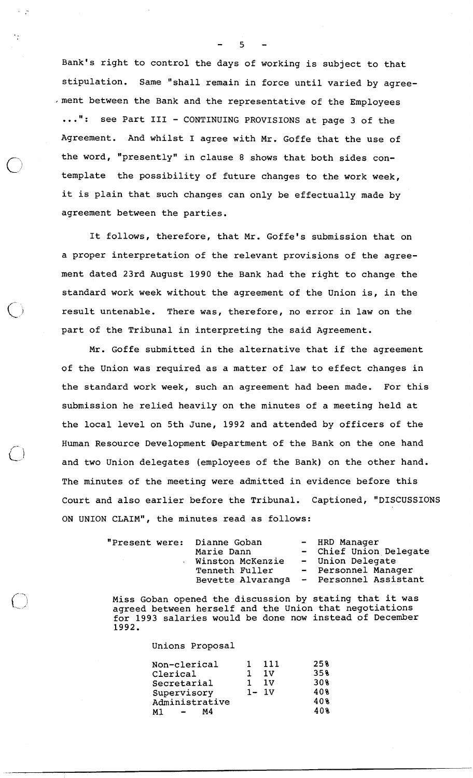Bank's right to control the days of working is subject to that stipulation. Same "shall remain in force until varied by agree- ,merit between the Bank and the representative of the Employees ...": see Part III - CONTINUING PROVISIONS at page 3 of the Agreement. And whilst I agree with Mr. Goffe that the use of the word, "presently" in clause 8 shows that both sides contemplate the possibility of future changes to the work week, it is plain that such changes can only be effectually made by agreement between the parties.

It follows, therefore, that Mr. Goffe's submission that on a proper interpretation of the relevant provisions of the agreement dated 23rd August 1990 the Bank had the right to change the standard work week without the agreement of the Union is, in the result untenable. There was, therefore, no error in law on the part of the Tribunal in interpreting the said Agreement.

Mr. Goffe submitted in the alternative that if the agreement of the Union was required as a matter of law to effect changes in the standard work week, such an agreement had been made. For this submission he relied heavily on the minutes of a meeting held at the local level on 5th June, 1992 and attended by officers of the Human Resource Development Department of the Bank on the one hand and two Union delegates (employees of the Bank) on the other hand. The minutes of the meeting were admitted in evidence before this Court and also earlier before the Tribunal. Captioned, "DISCUSSIONS ON UNION CLAIM", the minutes read as follows:

| "Present were: Dianne Goban | Marie Dann<br>Winston McKenzie<br>Tenneth Fuller |  | - HRD Manager<br>- Chief Union Delegate<br>- Union Delegate<br>- Personnel Manager<br>Bevette Alvaranga - Personnel Assistant |
|-----------------------------|--------------------------------------------------|--|-------------------------------------------------------------------------------------------------------------------------------|
|-----------------------------|--------------------------------------------------|--|-------------------------------------------------------------------------------------------------------------------------------|

Miss Goban opened the discussion by stating that it was agreed between herself and the Union that negotiations for 1993 salaries would be done now instead of December 1992.

Unions Proposal

| Non-clerical               | 111      | 25% |
|----------------------------|----------|-----|
| Clerical                   | 1v       | 35% |
| Secretarial                | 1 V      | 30% |
| Supervisory                | $1 - 1V$ | 408 |
| Administrative             |          | 40% |
| М4<br>M 1<br>$\sim$ $\sim$ |          | 40% |
|                            |          |     |

5

 $\omega_{\rm{eff}}=0.5$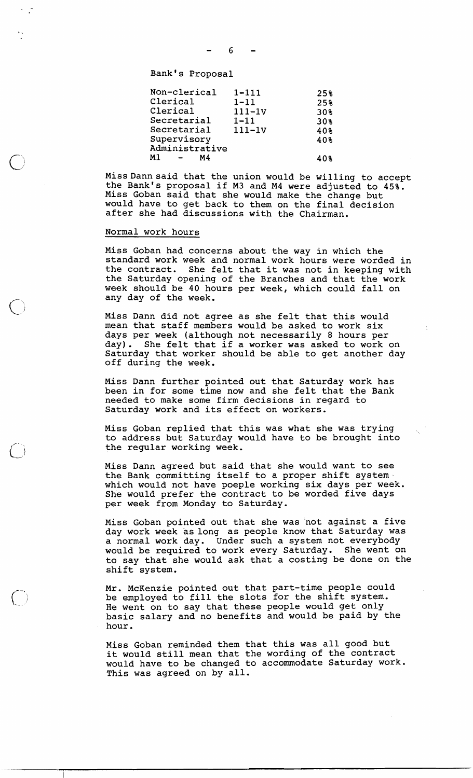Bank's Proposal

| $1 - 111$  | 25% |
|------------|-----|
| $1 - 11$   | 25% |
| $111-1V$   | 30% |
| $1 - 11$   | 30% |
| $111 - 1V$ | 40% |
|            | 40% |
|            |     |
|            | 408 |
|            |     |

MissDann said that the union would be willing to accept the Bank's proposal if M3 and M4 were adjusted to 45%. Miss Goban said that she would make the change but would have to get back to them on the final decision after she had discussions with the Chairman.

# Normal work hours

Miss Goban had concerns about the way in which the standard work week and normal work hours were worded in the contract. She felt that it was not in keeping with the Saturday opening of the Branches and that the work week should be 40 hours per week, which could fall on any day of the week.

Miss Dann did not agree as she felt that this would mean that staff members would be asked to work six days per week (although not necessarily 8 hours per day). She felt that if a worker was asked to work on Saturday that worker should be able to get another day off during the week.

Miss Dann further pointed out that Saturday work has been in for some time now and she felt that the Bank needed to make some firm decisions in regard to Saturday work and its effect on workers.

Miss Goban replied that this was what she was trying to address but Saturday would have to be brought into the regular working week.

Miss Dann agreed but said that she would want to see the Bank committing itself to a proper shift system. which would not have poeple working six days per week. She would prefer the contract to be worded five days per week from Monday to Saturday.

Miss Goban pointed out that she was not against a five day work week as long as people know that Saturday was a normal work day. Under such a system not everybody would be required to work every Saturday. She went on to say that she would ask that a costing be done on the shift system.

Mr. McKenzie pointed out that part-time people could be employed to fill the slots for the shift system. He went on to say that these people would get only basic salary and no benefits and would be paid by the hour.

Miss Goban reminded them that this was all good but it would still mean that the wording of the contract would have to be changed to accommodate Saturday work. This was agreed on by all.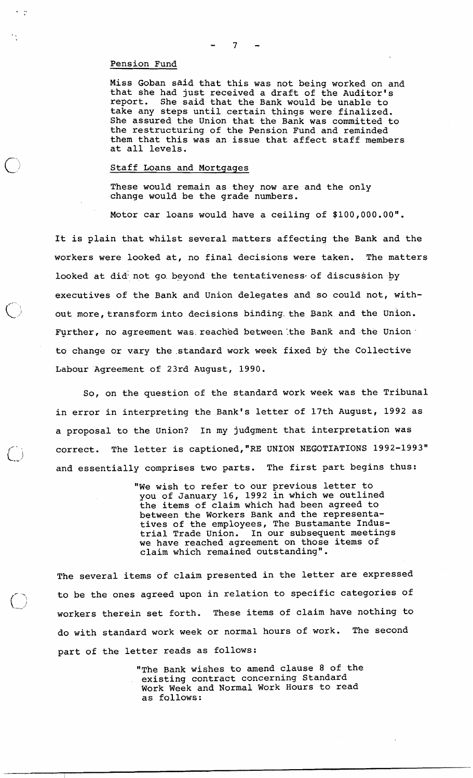#### Pension Fund

 $\cdot$  .

Miss Goban said that this was not being worked on and that she had just received a draft of the Auditor'<br>report. She said that the Bank would be unable to She said that the Bank would be unable to take any steps until certain things were finalized. She assured the Union that the Bank was committed to the restructuring of the Pension Fund and reminded them that this was an issue that affect staff members at all levels.

#### Staff Loans and Mortgages

These would remain as they now are and the only change would be the grade numbers.

Motor car loans would have a ceiling of \$100,000.00".

It is plain that whilst several matters affecting the Bank and the workers were looked at, no final decisions were taken. The matters looked at did not go beyond the tentativeness of discussion by executives of the Bank and Union delegates and so could not, without more, transform into decisions binding the Bank and the Union. Further, no agreement was reached between the Bank and the Union. to change or vary the.standard work week fixed by the Collective Labour 'Agreement of 23rd August, 1990.

So, on the question of the standard work week was the Tribunal in error in interpreting the Bank's letter of 17th August, 1992 as a proposal to the Union? In my judgment that interpretation was correct. The letter is captioned, "RE UNION NEGOTIATIONS 1992-1993" and essentially comprises two parts. The first part begins thus:

> "We wish to refer to our previous letter to you of January 16, 1992 in which we outlined the items of claim which had been agreed to between the Workers Bank and the representatives of the employees, The Bustamante Industrial Trade Union. In our subsequent meetings we have reached agreement on those items of claim which remained outstanding".

The several items of claim presented in the letter are expressed to be the ones agreed upon in relation to specific categories of workers therein set forth. These items of claim have nothing to do with standard work week or normal hours of work. The second part of the letter reads as follows:

> "The Bank wishes to amend clause 8 of the existing contract concerning Standard Work Week and Normal Work Hours to read as follows: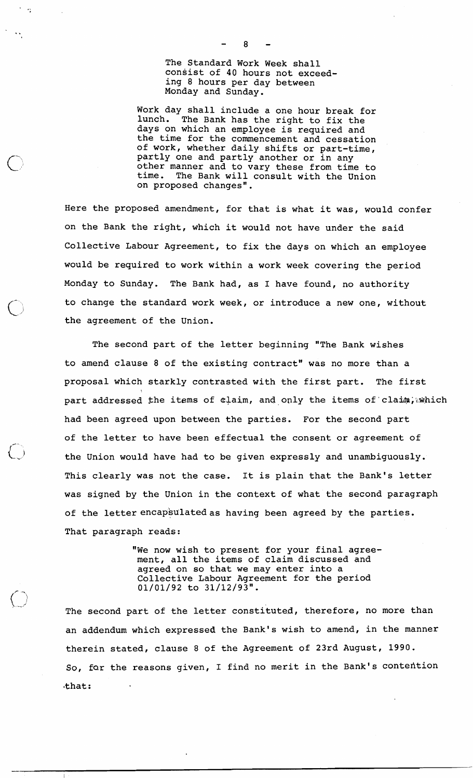The Standard Work Week shall consist of **40** hours not exceeding 8 hours per day between Monday and Sunday.

Work day shall include a one hour break for lunch. The Bank has the right to fix the days on which an employee is required and the time for the commencement and cessation of work, whether daily shifts or part-time, partly one and partly another or in any other manner and to vary these from time to time. The Bank will consult with the Union on proposed changes".

Here the proposed amendment, for that is what it was, would confer on the Bank the right, which it would not have under the said Collective Labour Agreement, to fix the days on which an employee would be required to work within a work week covering the period Monday to Sunday. The Bank had, as I have found, no authority to change the standard work week, or introduce a new one, without the agreement of the Union.

The second part of the letter beginning "The Bank wishes to amend clause 8 of the existing contract" was no more than a proposal which starkly contrasted with the first part. The first part addressed the items of  $d$ laim, and only the items of claim, which had been agreed upon between the parties. For the second part of the letter to have been effectual the consent or agreement of the Union would have had to be given expressly and unambiguously. This clearly was not the case. It is plain that the Bank's letter was signed by the Union in the context of what the second paragraph of the letter encapsulated as having been agreed by the parties. That paragraph reads:

> "We now wish to present for your final agreement, all the items of claim discussed and agreed on so that we may enter into a Collective Labour Agreement for the period **01/01/92** to **31/12/93".**

The second part of the letter constituted, therefore, no more than an addendum which expressed the Bank's wish to amend, in the manner therein stated, clause 8 of the Agreement of 23rd August, **1990.**  So, far the reasons given, I find no merit in the Bank's contehtion that:

 $\setminus$ 

 $\mathbf{a}$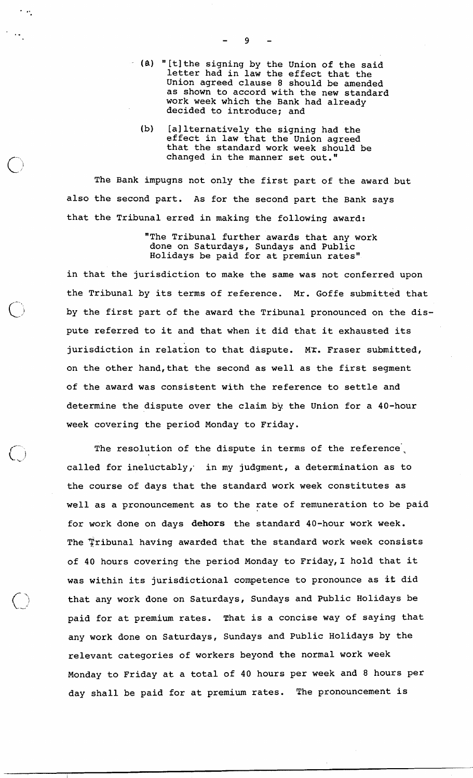- **(b)** "[tithe signing by the Union of the said letter had in law the effect that the Union agreed clause 8 should be amended as shown to accord with the new standard work week which the Bank had already decided to introduce; and
	- (b) [a1 lternatively the signing had the effect in law that the Union agreed that the standard work week should be changed in the manner set out."

The Bank impugns not only the first part of the award but also the second part. As for the second part the Bank says that the Tribunal erred in making the following award:

> "The Tribunal further awards that any work done on Saturdays, Sundays and Public Holidays be paid for at premiun rates"

in that the jurisdiction to make the same was not conferred upon the Tribunal by its terms of reference. Mr. Goffe submitted that by the first part of the award the Tribunal pronounced on the dispute referred to it and that when it did that it exhausted its jurisdiction in relation to that dispute. Mr. Fraser submitted, on the other hand, that the second as well as the first segment of the award was consistent with the reference to settle and determine the dispute over the claim by the Union for a 40-hour week covering the period Monday to Friday.

The resolution of the dispute in terms of the reference, called for ineluctably, in my judgment, a determination as to the course of days that the standard work week constitutes as well as a pronouncement as to the rate of remuneration to be paid for work done on days dehors the standard 40-hour work week. The Tribunal having awarded that the standard work week consists of 40 hours covering the period Monday to Friday,I hold that it was within its jurisdictional competence to pronounce as **it** did that any work done on Saturdays, Sundays and Public Holidays be paid for at premium rates. That is a concise way of saying that any work done on Saturdays, Sundays and Public Holidays by the relevant categories of workers beyond the normal work week Monday to Friday at a total of 40 hours per week and 8 hours per day shall be paid for at premium rates. The pronouncement is

 $\mathbf{Q}$ 

 $\sim$   $\omega$